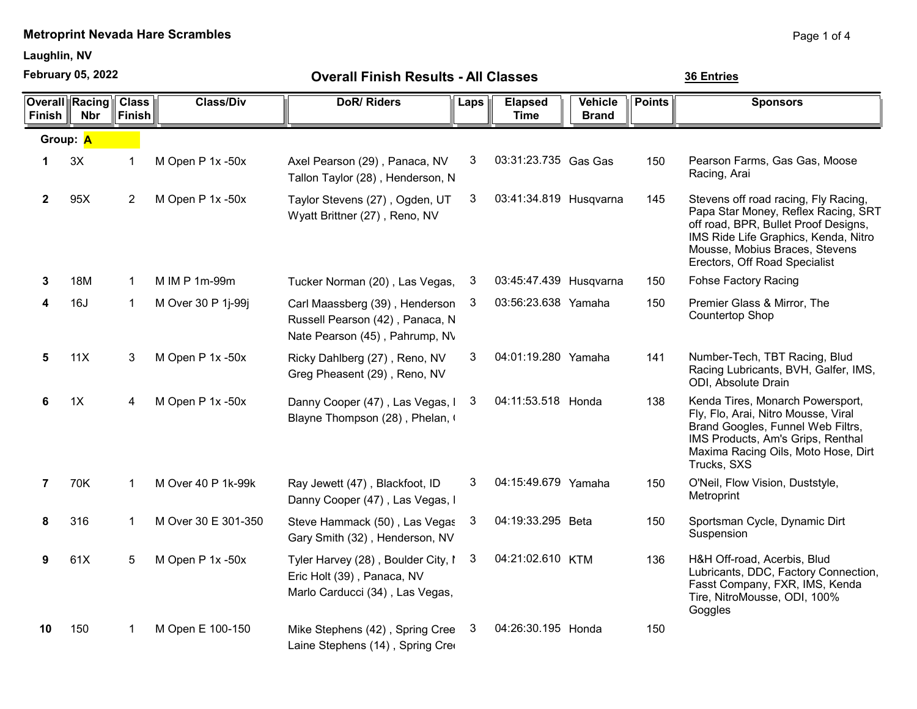Laughlin, NV

February 05, 2022

36 Entries

| <b>Overall Finish Results - All Classes</b> |
|---------------------------------------------|
|---------------------------------------------|

| Finish         | <b>Overall Racing</b><br><b>Nbr</b> | <b>Class</b><br>Finish | <b>Class/Div</b>    | <b>DoR/Riders</b>                                                                                   | Laps | <b>Elapsed</b><br><b>Time</b> | <b>Vehicle</b><br><b>Brand</b> | <b>Points</b> | <b>Sponsors</b>                                                                                                                                                                                                                |  |
|----------------|-------------------------------------|------------------------|---------------------|-----------------------------------------------------------------------------------------------------|------|-------------------------------|--------------------------------|---------------|--------------------------------------------------------------------------------------------------------------------------------------------------------------------------------------------------------------------------------|--|
| Group: A       |                                     |                        |                     |                                                                                                     |      |                               |                                |               |                                                                                                                                                                                                                                |  |
| 1              | 3X                                  | 1                      | M Open P 1x -50x    | Axel Pearson (29), Panaca, NV<br>Tallon Taylor (28), Henderson, N                                   | 3    | 03:31:23.735 Gas Gas          |                                | 150           | Pearson Farms, Gas Gas, Moose<br>Racing, Arai                                                                                                                                                                                  |  |
| $\mathbf{2}$   | 95X                                 | $\overline{2}$         | M Open P 1x -50x    | Taylor Stevens (27), Ogden, UT<br>Wyatt Brittner (27), Reno, NV                                     | 3    | 03:41:34.819 Husqvarna        |                                | 145           | Stevens off road racing, Fly Racing,<br>Papa Star Money, Reflex Racing, SRT<br>off road, BPR, Bullet Proof Designs,<br>IMS Ride Life Graphics, Kenda, Nitro<br>Mousse, Mobius Braces, Stevens<br>Erectors, Off Road Specialist |  |
| 3              | 18M                                 | 1                      | M IM P 1m-99m       | Tucker Norman (20), Las Vegas,                                                                      | 3    | 03:45:47.439 Husqvarna        |                                | 150           | <b>Fohse Factory Racing</b>                                                                                                                                                                                                    |  |
| 4              | 16J                                 | 1                      | M Over 30 P 1j-99j  | Carl Maassberg (39), Henderson<br>Russell Pearson (42), Panaca, N<br>Nate Pearson (45), Pahrump, NV | 3    | 03:56:23.638 Yamaha           |                                | 150           | Premier Glass & Mirror, The<br>Countertop Shop                                                                                                                                                                                 |  |
| 5              | 11X                                 | 3                      | M Open P 1x -50x    | Ricky Dahlberg (27), Reno, NV<br>Greg Pheasent (29), Reno, NV                                       | 3    | 04:01:19.280 Yamaha           |                                | 141           | Number-Tech, TBT Racing, Blud<br>Racing Lubricants, BVH, Galfer, IMS,<br>ODI, Absolute Drain                                                                                                                                   |  |
| 6              | 1X                                  | 4                      | M Open P 1x -50x    | Danny Cooper (47), Las Vegas, I<br>Blayne Thompson (28), Phelan, I                                  | 3    | 04:11:53.518 Honda            |                                | 138           | Kenda Tires, Monarch Powersport,<br>Fly, Flo, Arai, Nitro Mousse, Viral<br>Brand Googles, Funnel Web Filtrs,<br>IMS Products, Am's Grips, Renthal<br>Maxima Racing Oils, Moto Hose, Dirt<br>Trucks, SXS                        |  |
| $\overline{7}$ | 70K                                 | $\mathbf{1}$           | M Over 40 P 1k-99k  | Ray Jewett (47), Blackfoot, ID<br>Danny Cooper (47), Las Vegas, I                                   | 3    | 04:15:49.679 Yamaha           |                                | 150           | O'Neil, Flow Vision, Duststyle,<br>Metroprint                                                                                                                                                                                  |  |
| 8              | 316                                 | 1                      | M Over 30 E 301-350 | Steve Hammack (50), Las Vegas<br>Gary Smith (32), Henderson, NV                                     | 3    | 04:19:33.295 Beta             |                                | 150           | Sportsman Cycle, Dynamic Dirt<br>Suspension                                                                                                                                                                                    |  |
| 9              | 61X                                 | 5                      | M Open P 1x -50x    | Tyler Harvey (28), Boulder City, I<br>Eric Holt (39), Panaca, NV<br>Marlo Carducci (34), Las Vegas, | 3    | 04:21:02.610 KTM              |                                | 136           | H&H Off-road, Acerbis, Blud<br>Lubricants, DDC, Factory Connection,<br>Fasst Company, FXR, IMS, Kenda<br>Tire, NitroMousse, ODI, 100%<br>Goggles                                                                               |  |
| 10             | 150                                 | 1                      | M Open E 100-150    | Mike Stephens (42), Spring Cree<br>Laine Stephens (14), Spring Cree                                 | 3    | 04:26:30.195 Honda            |                                | 150           |                                                                                                                                                                                                                                |  |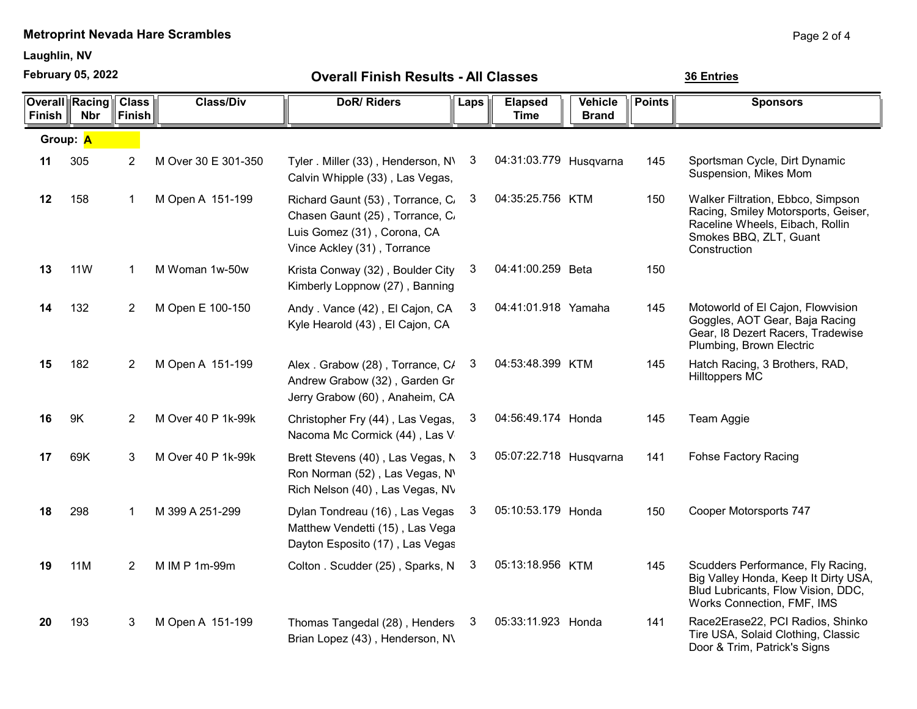Laughlin, NV

February 05, 2022

36 Entries

| <b>Finish</b> | <b>Overall Racing</b><br><b>Nbr</b> | <b>Class</b><br><b>Finish</b> | <b>Class/Div</b>    | <b>DoR/Riders</b>                                                                                                                 | Laps | <b>Elapsed</b><br><b>Time</b> | Vehicle<br><b>Brand</b> | <b>Points</b> | <b>Sponsors</b>                                                                                                                                       |
|---------------|-------------------------------------|-------------------------------|---------------------|-----------------------------------------------------------------------------------------------------------------------------------|------|-------------------------------|-------------------------|---------------|-------------------------------------------------------------------------------------------------------------------------------------------------------|
| Group: A      |                                     |                               |                     |                                                                                                                                   |      |                               |                         |               |                                                                                                                                                       |
| 11            | 305                                 | 2                             | M Over 30 E 301-350 | Tyler. Miller (33), Henderson, N\<br>Calvin Whipple (33), Las Vegas,                                                              | 3    | 04:31:03.779 Husqvarna        |                         | 145           | Sportsman Cycle, Dirt Dynamic<br>Suspension, Mikes Mom                                                                                                |
| 12            | 158                                 | -1                            | M Open A 151-199    | Richard Gaunt (53), Torrance, C.<br>Chasen Gaunt (25), Torrance, C.<br>Luis Gomez (31), Corona, CA<br>Vince Ackley (31), Torrance | 3    | 04:35:25.756 KTM              |                         | 150           | Walker Filtration, Ebbco, Simpson<br>Racing, Smiley Motorsports, Geiser,<br>Raceline Wheels, Eibach, Rollin<br>Smokes BBQ, ZLT, Guant<br>Construction |
| 13            | <b>11W</b>                          | -1                            | M Woman 1w-50w      | Krista Conway (32), Boulder City<br>Kimberly Loppnow (27), Banning                                                                | 3    | 04:41:00.259 Beta             |                         | 150           |                                                                                                                                                       |
| 14            | 132                                 | $\overline{2}$                | M Open E 100-150    | Andy . Vance (42), El Cajon, CA<br>Kyle Hearold (43), El Cajon, CA                                                                | 3    | 04:41:01.918 Yamaha           |                         | 145           | Motoworld of El Cajon, Flowvision<br>Goggles, AOT Gear, Baja Racing<br>Gear, I8 Dezert Racers, Tradewise<br>Plumbing, Brown Electric                  |
| 15            | 182                                 | $\overline{2}$                | M Open A 151-199    | Alex . Grabow (28), Torrance, C/<br>Andrew Grabow (32), Garden Gr<br>Jerry Grabow (60), Anaheim, CA                               | 3    | 04:53:48.399 KTM              |                         | 145           | Hatch Racing, 3 Brothers, RAD,<br><b>Hilltoppers MC</b>                                                                                               |
| 16            | 9K                                  | $\overline{2}$                | M Over 40 P 1k-99k  | Christopher Fry (44), Las Vegas,<br>Nacoma Mc Cormick (44), Las V                                                                 | 3    | 04:56:49.174 Honda            |                         | 145           | Team Aggie                                                                                                                                            |
| 17            | 69K                                 | 3                             | M Over 40 P 1k-99k  | Brett Stevens (40), Las Vegas, N<br>Ron Norman (52), Las Vegas, N'<br>Rich Nelson (40), Las Vegas, NV                             | 3    | 05:07:22.718 Husqvarna        |                         | 141           | <b>Fohse Factory Racing</b>                                                                                                                           |
| 18            | 298                                 | 1                             | M 399 A 251-299     | Dylan Tondreau (16), Las Vegas<br>Matthew Vendetti (15), Las Vega<br>Dayton Esposito (17), Las Vegas                              | 3    | 05:10:53.179 Honda            |                         | 150           | Cooper Motorsports 747                                                                                                                                |
| 19            | 11M                                 | $\overline{2}$                | M IM P 1m-99m       | Colton . Scudder (25), Sparks, N                                                                                                  | 3    | 05:13:18.956 KTM              |                         | 145           | Scudders Performance, Fly Racing,<br>Big Valley Honda, Keep It Dirty USA,<br>Blud Lubricants, Flow Vision, DDC,<br>Works Connection, FMF, IMS         |
| 20            | 193                                 | 3                             | M Open A 151-199    | Thomas Tangedal (28), Henders<br>Brian Lopez (43), Henderson, N\                                                                  | 3    | 05:33:11.923 Honda            |                         | 141           | Race2Erase22, PCI Radios, Shinko<br>Tire USA, Solaid Clothing, Classic<br>Door & Trim, Patrick's Signs                                                |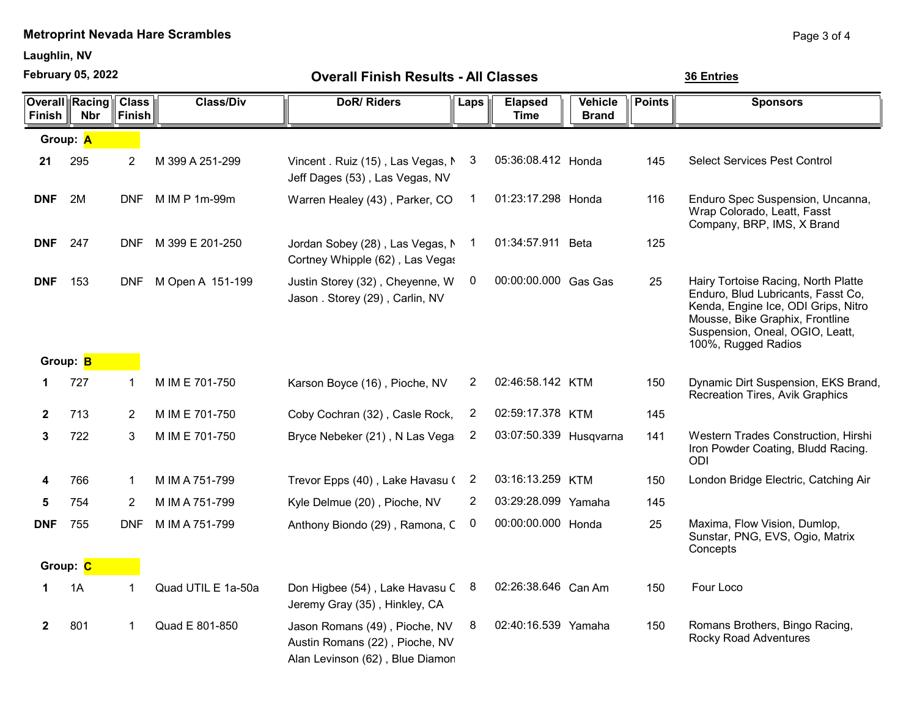Laughlin, NV

February 05, 2022

Page 3 of 4

| <b>February 05, 2022</b> |                                     |                               | <b>Overall Finish Results - All Classes</b> |                                                                                                    |      |                               |                                |               | 36 Entries                                                                                                                                                                                                    |  |  |
|--------------------------|-------------------------------------|-------------------------------|---------------------------------------------|----------------------------------------------------------------------------------------------------|------|-------------------------------|--------------------------------|---------------|---------------------------------------------------------------------------------------------------------------------------------------------------------------------------------------------------------------|--|--|
| <b>Finish</b>            | <b>Overall Racing</b><br><b>Nbr</b> | <b>Class</b><br><b>Finish</b> | <b>Class/Div</b>                            | <b>DoR/Riders</b>                                                                                  | Laps | <b>Elapsed</b><br><b>Time</b> | <b>Vehicle</b><br><b>Brand</b> | <b>Points</b> | <b>Sponsors</b>                                                                                                                                                                                               |  |  |
|                          | Group: A                            |                               |                                             |                                                                                                    |      |                               |                                |               |                                                                                                                                                                                                               |  |  |
| 21                       | 295                                 | $\overline{2}$                | M 399 A 251-299                             | Vincent. Ruiz (15), Las Vegas, N<br>Jeff Dages (53), Las Vegas, NV                                 | 3    | 05:36:08.412 Honda            |                                | 145           | <b>Select Services Pest Control</b>                                                                                                                                                                           |  |  |
| <b>DNF</b>               | 2M                                  | <b>DNF</b>                    | M IM P 1m-99m                               | Warren Healey (43), Parker, CO                                                                     | -1   | 01:23:17.298 Honda            |                                | 116           | Enduro Spec Suspension, Uncanna,<br>Wrap Colorado, Leatt, Fasst<br>Company, BRP, IMS, X Brand                                                                                                                 |  |  |
| <b>DNF</b>               | 247                                 | <b>DNF</b>                    | M 399 E 201-250                             | Jordan Sobey (28), Las Vegas, N<br>Cortney Whipple (62), Las Vegas                                 | -1   | 01:34:57.911 Beta             |                                | 125           |                                                                                                                                                                                                               |  |  |
| <b>DNF</b>               | 153                                 | <b>DNF</b>                    | M Open A 151-199                            | Justin Storey (32), Cheyenne, W<br>Jason . Storey (29), Carlin, NV                                 | 0    | 00:00:00.000 Gas Gas          |                                | 25            | Hairy Tortoise Racing, North Platte<br>Enduro, Blud Lubricants, Fasst Co,<br>Kenda, Engine Ice, ODI Grips, Nitro<br>Mousse, Bike Graphix, Frontline<br>Suspension, Oneal, OGIO, Leatt,<br>100%, Rugged Radios |  |  |
|                          | Group: B                            |                               |                                             |                                                                                                    |      |                               |                                |               |                                                                                                                                                                                                               |  |  |
| 1                        | 727                                 | 1                             | M IM E 701-750                              | Karson Boyce (16), Pioche, NV                                                                      | 2    | 02:46:58.142 KTM              |                                | 150           | Dynamic Dirt Suspension, EKS Brand,<br>Recreation Tires, Avik Graphics                                                                                                                                        |  |  |
| $\mathbf{2}$             | 713                                 | $\overline{2}$                | M IM E 701-750                              | Coby Cochran (32), Casle Rock,                                                                     | 2    | 02:59:17.378 KTM              |                                | 145           |                                                                                                                                                                                                               |  |  |
| 3                        | 722                                 | 3                             | M IM E 701-750                              | Bryce Nebeker (21), N Las Vega                                                                     | 2    | 03:07:50.339 Husqvarna        |                                | 141           | Western Trades Construction, Hirshi<br>Iron Powder Coating, Bludd Racing.<br><b>ODI</b>                                                                                                                       |  |  |
| 4                        | 766                                 | 1                             | M IM A 751-799                              | Trevor Epps (40), Lake Havasu (                                                                    | 2    | 03:16:13.259 KTM              |                                | 150           | London Bridge Electric, Catching Air                                                                                                                                                                          |  |  |
| 5                        | 754                                 | $\overline{2}$                | M IM A 751-799                              | Kyle Delmue (20), Pioche, NV                                                                       | 2    | 03:29:28.099 Yamaha           |                                | 145           |                                                                                                                                                                                                               |  |  |
| <b>DNF</b>               | 755                                 | <b>DNF</b>                    | M IM A 751-799                              | Anthony Biondo (29), Ramona, C                                                                     | 0    | 00:00:00.000 Honda            |                                | 25            | Maxima, Flow Vision, Dumlop,<br>Sunstar, PNG, EVS, Ogio, Matrix<br>Concepts                                                                                                                                   |  |  |
|                          | Group: C                            |                               |                                             |                                                                                                    |      |                               |                                |               |                                                                                                                                                                                                               |  |  |
|                          | 1A                                  | 1                             | Quad UTIL E 1a-50a                          | Don Higbee (54), Lake Havasu C<br>Jeremy Gray (35), Hinkley, CA                                    | 8    | 02:26:38.646 Can Am           |                                | 150           | Four Loco                                                                                                                                                                                                     |  |  |
| $\mathbf{2}$             | 801                                 | 1                             | Quad E 801-850                              | Jason Romans (49), Pioche, NV<br>Austin Romans (22), Pioche, NV<br>Alan Levinson (62), Blue Diamon | 8    | 02:40:16.539 Yamaha           |                                | 150           | Romans Brothers, Bingo Racing,<br><b>Rocky Road Adventures</b>                                                                                                                                                |  |  |